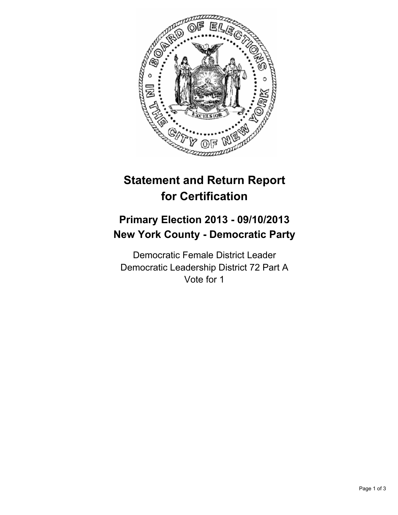

# **Statement and Return Report for Certification**

## **Primary Election 2013 - 09/10/2013 New York County - Democratic Party**

Democratic Female District Leader Democratic Leadership District 72 Part A Vote for 1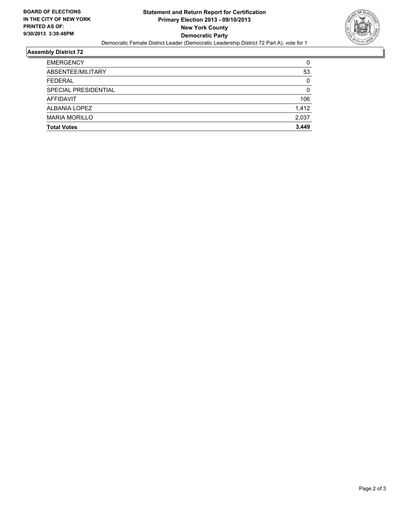

### **Assembly District 72**

| <b>EMERGENCY</b>     | 0     |
|----------------------|-------|
| ABSENTEE/MILITARY    | 53    |
| <b>FEDERAL</b>       | 0     |
| SPECIAL PRESIDENTIAL | 0     |
| AFFIDAVIT            | 106   |
| ALBANIA LOPEZ        | 1,412 |
| <b>MARIA MORILLO</b> | 2,037 |
| <b>Total Votes</b>   | 3.449 |
|                      |       |